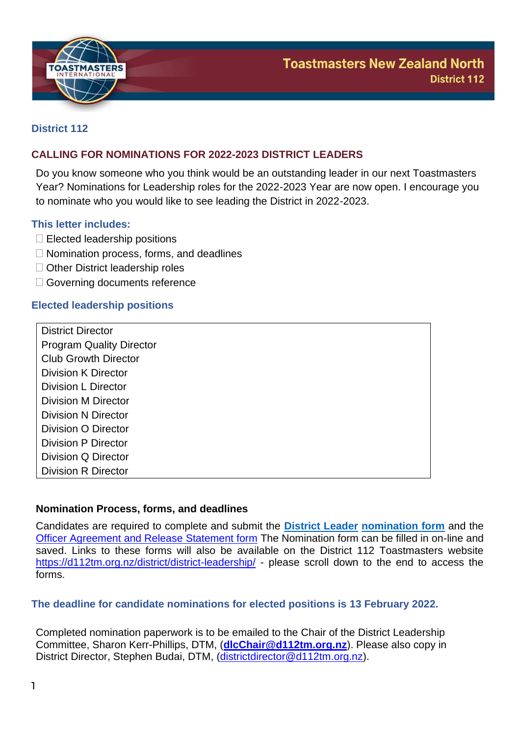

## **District 112**

## **CALLING FOR NOMINATIONS FOR 2022-2023 DISTRICT LEADERS**

Do you know someone who you think would be an outstanding leader in our next Toastmasters Year? Nominations for Leadership roles for the 2022-2023 Year are now open. I encourage you to nominate who you would like to see leading the District in 2022-2023.

## **This letter includes:**

- $\Box$  Elected leadership positions
- $\Box$  Nomination process, forms, and deadlines
- □ Other District leadership roles
- □ Governing documents reference

## **Elected leadership positions**

| <b>District Director</b>        |
|---------------------------------|
| <b>Program Quality Director</b> |
| <b>Club Growth Director</b>     |
| Division K Director             |
| Division L Director             |
| Division M Director             |
| Division N Director             |
| Division O Director             |
| Division P Director             |
| Division Q Director             |
| <b>Division R Director</b>      |

## **Nomination Process, forms, and deadlines**

Candidates are required to complete and submit the **[District Leader](https://www.toastmasters.org/resources/district-leader-nominating-form) [nomination form](https://www.toastmasters.org/resources/district-leader-nominating-form)** and the [Officer Agreement and Release Statement form](https://www.toastmasters.org/resources/district-leader-agreement-and-release-statement) The Nomination form can be filled in on-line and saved. Links to these forms will also be available on the District 112 Toastmasters website <https://d112tm.org.nz/district/district-leadership/> - please scroll down to the end to access the forms.

### **The deadline for candidate nominations for elected positions is 13 February 2022.**

Completed nomination paperwork is to be emailed to the Chair of the District Leadership Committee, Sharon Kerr-Phillips, DTM, (**[dlcChair@d112tm.org.nz](mailto:dlcChair@d112tm.org.nz)**). Please also copy in District Director, Stephen Budai, DTM, [\(districtdirector@d112tm.org.nz\)](mailto:districtdirector@d112tm.org.nz).